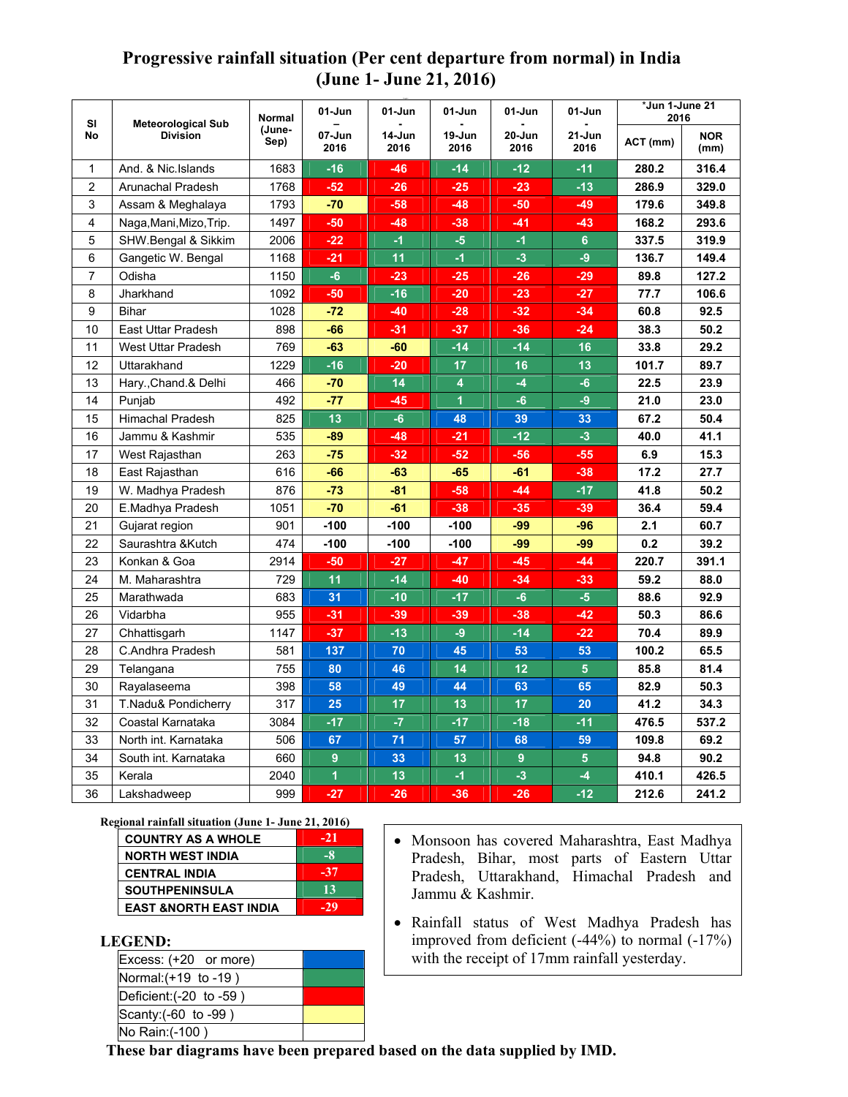## **Progressive rainfall situation (Per cent departure from normal) in India (June 1- June 21, 2016)**

| SI<br>No       | <b>Meteorological Sub</b><br><b>Division</b> | <b>Normal</b><br>(June-<br>Sep) | 01-Jun         | 01-Jun         | 01-Jun                  | 01-Jun             | *Jun 1-June 21<br>01-Jun<br>2016 |          |                    |
|----------------|----------------------------------------------|---------------------------------|----------------|----------------|-------------------------|--------------------|----------------------------------|----------|--------------------|
|                |                                              |                                 | 07-Jun<br>2016 | 14-Jun<br>2016 | 19-Jun<br>2016          | $20 - Jun$<br>2016 | 21-Jun<br>2016                   | ACT (mm) | <b>NOR</b><br>(mm) |
| 1              | And. & Nic. Islands                          | 1683                            | $-16$          | $-46$          | $-14$                   | $-12$              | $-11$                            | 280.2    | 316.4              |
| $\overline{2}$ | Arunachal Pradesh                            | 1768                            | $-52$          | $-26$          | $-25$                   | $-23$              | $-13$                            | 286.9    | 329.0              |
| 3              | Assam & Meghalaya                            | 1793                            | $-70$          | -58            | $-48$                   | -50                | -49                              | 179.6    | 349.8              |
| $\overline{4}$ | Naga, Mani, Mizo, Trip.                      | 1497                            | -50            | -48            | $-38$                   | -41                | -43                              | 168.2    | 293.6              |
| 5              | SHW.Bengal & Sikkim                          | 2006                            | $-22$          | $-1$           | $-5$                    | $-1$               | $\overline{6}$                   | 337.5    | 319.9              |
| 6              | Gangetic W. Bengal                           | 1168                            | $-21$          | 11             | $-1$                    | $-3$               | $-9$                             | 136.7    | 149.4              |
| $\overline{7}$ | Odisha                                       | 1150                            | $-6$           | $-23$          | $-25$                   | $-26$              | $-29$                            | 89.8     | 127.2              |
| 8              | Jharkhand                                    | 1092                            | $-50$          | $-16$          | $-20$                   | $-23$              | $-27$                            | 77.7     | 106.6              |
| 9              | <b>Bihar</b>                                 | 1028                            | $-72$          | $-40$          | $-28$                   | $-32$              | $-34$                            | 60.8     | 92.5               |
| 10             | <b>East Uttar Pradesh</b>                    | 898                             | $-66$          | $-31$          | $-37$                   | $-36$              | $-24$                            | 38.3     | 50.2               |
| 11             | <b>West Uttar Pradesh</b>                    | 769                             | $-63$          | $-60$          | $-14$                   | $-14$              | 16                               | 33.8     | 29.2               |
| 12             | Uttarakhand                                  | 1229                            | $-16$          | $-20$          | 17                      | 16                 | 13                               | 101.7    | 89.7               |
| 13             | Hary., Chand.& Delhi                         | 466                             | $-70$          | 14             | $\overline{\mathbf{4}}$ | $-4$               | $-6$                             | 22.5     | 23.9               |
| 14             | Punjab                                       | 492                             | $-77$          | -45            | $\overline{1}$          | $-6$               | -9                               | 21.0     | 23.0               |
| 15             | <b>Himachal Pradesh</b>                      | 825                             | 13             | $-6$           | 48                      | 39                 | 33                               | 67.2     | 50.4               |
| 16             | Jammu & Kashmir                              | 535                             | -89            | $-48$          | $-21$                   | $-12$              | $-3$                             | 40.0     | 41.1               |
| 17             | West Rajasthan                               | 263                             | $-75$          | $-32$          | $-52$                   | $-56$              | $-55$                            | 6.9      | 15.3               |
| 18             | East Rajasthan                               | 616                             | $-66$          | $-63$          | $-65$                   | $-61$              | $-38$                            | 17.2     | 27.7               |
| 19             | W. Madhya Pradesh                            | 876                             | $-73$          | $-81$          | $-58$                   | $-44$              | $-17$                            | 41.8     | 50.2               |
| 20             | E.Madhya Pradesh                             | 1051                            | $-70$          | $-61$          | $-38$                   | $-35$              | $-39$                            | 36.4     | 59.4               |
| 21             | Gujarat region                               | 901                             | $-100$         | $-100$         | $-100$                  | -99                | $-96$                            | 2.1      | 60.7               |
| 22             | Saurashtra & Kutch                           | 474                             | $-100$         | $-100$         | $-100$                  | $-99$              | -99                              | 0.2      | 39.2               |
| 23             | Konkan & Goa                                 | 2914                            | -50            | $-27$          | -47                     | $-45$              | $-44$                            | 220.7    | 391.1              |
| 24             | M. Maharashtra                               | 729                             | 11             | $-14$          | $-40$                   | $-34$              | $-33$                            | 59.2     | 88.0               |
| 25             | Marathwada                                   | 683                             | 31             | $-10$          | $-17$                   | $-6$               | $-5$                             | 88.6     | 92.9               |
| 26             | Vidarbha                                     | 955                             | $-31$          | $-39$          | -39                     | $-38$              | $-42$                            | 50.3     | 86.6               |
| 27             | Chhattisgarh                                 | 1147                            | $-37$          | $-13$          | $-9$                    | $-14$              | $-22$                            | 70.4     | 89.9               |
| 28             | C.Andhra Pradesh                             | 581                             | 137            | 70             | 45                      | 53                 | 53                               | 100.2    | 65.5               |
| 29             | Telangana                                    | 755                             | 80             | 46             | 14                      | 12                 | 5                                | 85.8     | 81.4               |
| 30             | Rayalaseema                                  | 398                             | 58             | 49             | 44                      | 63                 | 65                               | 82.9     | 50.3               |
| 31             | T.Nadu& Pondicherry                          | 317                             | 25             | 17             | 13                      | 17                 | 20                               | 41.2     | 34.3               |
| 32             | Coastal Karnataka                            | 3084                            | $-17$          | $-7$           | $-17$                   | $-18$              | $-11$                            | 476.5    | 537.2              |
| 33             | North int. Karnataka                         | 506                             | 67             | 71             | 57                      | 68                 | 59                               | 109.8    | 69.2               |
| 34             | South int. Karnataka                         | 660                             | 9              | 33             | 13                      | 9                  | $\overline{\mathbf{5}}$          | 94.8     | 90.2               |
| 35             | Kerala                                       | 2040                            | $\overline{1}$ | 13             | $-1$                    | $-3$               | $-4$                             | 410.1    | 426.5              |
| 36             | Lakshadweep                                  | 999                             | $-27$          | $-26$          | $-36$                   | $-26$              | $-12$                            | 212.6    | 241.2              |

**Regional rainfall situation (June 1- June 21, 2016)**

| <b>COUNTRY AS A WHOLE</b>         | $-21$ |
|-----------------------------------|-------|
| <b>NORTH WEST INDIA</b>           | $-8$  |
| <b>CENTRAL INDIA</b>              | $-37$ |
| <b>SOUTHPENINSULA</b>             | 13    |
| <b>EAST &amp;NORTH EAST INDIA</b> | $-29$ |

## **LEGEND:**

| Excess: (+20 or more)   |  |
|-------------------------|--|
| Normal: (+19 to -19)    |  |
| Deficient: (-20 to -59) |  |
| Scanty: (-60 to -99)    |  |
| No Rain: (-100)         |  |

- Monsoon has covered Maharashtra, East Madhya Pradesh, Bihar, most parts of Eastern Uttar Pradesh, Uttarakhand, Himachal Pradesh and Jammu & Kashmir.
- Rainfall status of West Madhya Pradesh has improved from deficient  $(-44%)$  to normal  $(-17%)$ with the receipt of 17mm rainfall yesterday.

**These bar diagrams have been prepared based on the data supplied by IMD.**